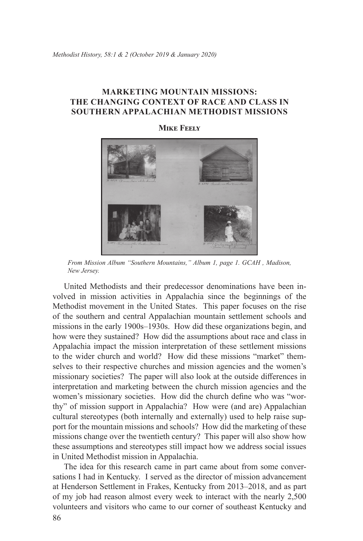## **Marketing Mountain Missions: The Changing Context of Race and Class in Southern Appalachian Methodist Missions**

## **Mike Feely**



*From Mission Album "Southern Mountains," Album 1, page 1. GCAH , Madison, New Jersey.*

United Methodists and their predecessor denominations have been involved in mission activities in Appalachia since the beginnings of the Methodist movement in the United States. This paper focuses on the rise of the southern and central Appalachian mountain settlement schools and missions in the early 1900s–1930s. How did these organizations begin, and how were they sustained? How did the assumptions about race and class in Appalachia impact the mission interpretation of these settlement missions to the wider church and world? How did these missions "market" themselves to their respective churches and mission agencies and the women's missionary societies? The paper will also look at the outside differences in interpretation and marketing between the church mission agencies and the women's missionary societies. How did the church define who was "worthy" of mission support in Appalachia? How were (and are) Appalachian cultural stereotypes (both internally and externally) used to help raise support for the mountain missions and schools? How did the marketing of these missions change over the twentieth century? This paper will also show how these assumptions and stereotypes still impact how we address social issues in United Methodist mission in Appalachia.

86 The idea for this research came in part came about from some conversations I had in Kentucky. I served as the director of mission advancement at Henderson Settlement in Frakes, Kentucky from 2013–2018, and as part of my job had reason almost every week to interact with the nearly 2,500 volunteers and visitors who came to our corner of southeast Kentucky and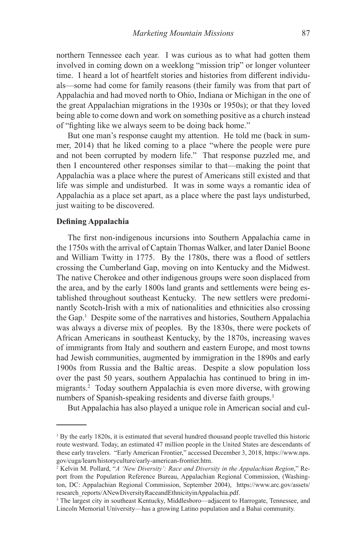northern Tennessee each year. I was curious as to what had gotten them involved in coming down on a weeklong "mission trip" or longer volunteer time. I heard a lot of heartfelt stories and histories from different individuals—some had come for family reasons (their family was from that part of Appalachia and had moved north to Ohio, Indiana or Michigan in the one of the great Appalachian migrations in the 1930s or 1950s); or that they loved being able to come down and work on something positive as a church instead of "fighting like we always seem to be doing back home."

But one man's response caught my attention. He told me (back in summer, 2014) that he liked coming to a place "where the people were pure and not been corrupted by modern life." That response puzzled me, and then I encountered other responses similar to that—making the point that Appalachia was a place where the purest of Americans still existed and that life was simple and undisturbed. It was in some ways a romantic idea of Appalachia as a place set apart, as a place where the past lays undisturbed, just waiting to be discovered.

## **Defining Appalachia**

The first non-indigenous incursions into Southern Appalachia came in the 1750s with the arrival of Captain Thomas Walker, and later Daniel Boone and William Twitty in 1775. By the 1780s, there was a flood of settlers crossing the Cumberland Gap, moving on into Kentucky and the Midwest. The native Cherokee and other indigenous groups were soon displaced from the area, and by the early 1800s land grants and settlements were being established throughout southeast Kentucky. The new settlers were predominantly Scotch-Irish with a mix of nationalities and ethnicities also crossing the Gap.<sup>1</sup> Despite some of the narratives and histories, Southern Appalachia was always a diverse mix of peoples. By the 1830s, there were pockets of African Americans in southeast Kentucky, by the 1870s, increasing waves of immigrants from Italy and southern and eastern Europe, and most towns had Jewish communities, augmented by immigration in the 1890s and early 1900s from Russia and the Baltic areas. Despite a slow population loss over the past 50 years, southern Appalachia has continued to bring in immigrants.<sup>2</sup> Today southern Appalachia is even more diverse, with growing numbers of Spanish-speaking residents and diverse faith groups.<sup>3</sup>

But Appalachia has also played a unique role in American social and cul-

<sup>&</sup>lt;sup>1</sup> By the early 1820s, it is estimated that several hundred thousand people travelled this historic route westward. Today, an estimated 47 million people in the United States are descendants of these early travelers. "Early American Frontier," accessed December 3, 2018, https://www.nps. gov/cuga/learn/historyculture/early-american-frontier.htm.

<sup>2</sup> Kelvin M. Pollard, "*A 'New Diversity': Race and Diversity in the Appalachian Region*," Report from the Population Reference Bureau, Appalachian Regional Commission, (Washington, DC: Appalachian Regional Commission, September 2004), https://www.arc.gov/assets/ research\_reports/ANewDiversityRaceandEthnicityinAppalachia.pdf.

<sup>&</sup>lt;sup>3</sup> The largest city in southeast Kentucky, Middlesboro—adjacent to Harrogate, Tennessee, and Lincoln Memorial University—has a growing Latino population and a Bahai community.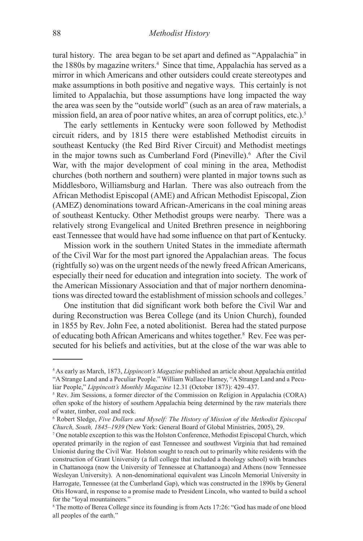tural history. The area began to be set apart and defined as "Appalachia" in the 1880s by magazine writers.<sup>4</sup> Since that time, Appalachia has served as a mirror in which Americans and other outsiders could create stereotypes and make assumptions in both positive and negative ways. This certainly is not limited to Appalachia, but those assumptions have long impacted the way the area was seen by the "outside world" (such as an area of raw materials, a mission field, an area of poor native whites, an area of corrupt politics, etc.).<sup>5</sup>

The early settlements in Kentucky were soon followed by Methodist circuit riders, and by 1815 there were established Methodist circuits in southeast Kentucky (the Red Bird River Circuit) and Methodist meetings in the major towns such as Cumberland Ford (Pineville).<sup>6</sup> After the Civil War, with the major development of coal mining in the area, Methodist churches (both northern and southern) were planted in major towns such as Middlesboro, Williamsburg and Harlan. There was also outreach from the African Methodist Episcopal (AME) and African Methodist Episcopal, Zion (AMEZ) denominations toward African-Americans in the coal mining areas of southeast Kentucky. Other Methodist groups were nearby. There was a relatively strong Evangelical and United Brethren presence in neighboring east Tennessee that would have had some influence on that part of Kentucky.

Mission work in the southern United States in the immediate aftermath of the Civil War for the most part ignored the Appalachian areas. The focus (rightfully so) was on the urgent needs of the newly freed African Americans, especially their need for education and integration into society. The work of the American Missionary Association and that of major northern denominations was directed toward the establishment of mission schools and colleges.7

One institution that did significant work both before the Civil War and during Reconstruction was Berea College (and its Union Church), founded in 1855 by Rev. John Fee, a noted abolitionist. Berea had the stated purpose of educating both African Americans and whites together.<sup>8</sup> Rev. Fee was persecuted for his beliefs and activities, but at the close of the war was able to

<sup>4</sup> As early as March, 1873, *Lippincott's Magazine* published an article about Appalachia entitled "A Strange Land and a Peculiar People." William Wallace Harney, "A Strange Land and a Peculiar People," *Lippincott's Monthly Magazine* 12.31 (October 1873): 429-437.

<sup>&</sup>lt;sup>5</sup> Rev. Jim Sessions, a former director of the Commission on Religion in Appalachia (CORA) often spoke of the history of southern Appalachia being determined by the raw materials there of water, timber, coal and rock.

<sup>&</sup>lt;sup>6</sup> Robert Sledge, *Five Dollars and Myself: The History of Mission of the Methodist Episcopal Church, South, 1845–1939* (New York: General Board of Global Ministries, 2005), 29.

<sup>7</sup> One notable exception to this was the Holston Conference, Methodist Episcopal Church, which operated primarily in the region of east Tennessee and southwest Virginia that had remained Unionist during the Civil War. Holston sought to reach out to primarily white residents with the construction of Grant University (a full college that included a theology school) with branches in Chattanooga (now the University of Tennessee at Chattanooga) and Athens (now Tennessee Wesleyan University). A non-denominational equivalent was Lincoln Memorial University in Harrogate, Tennessee (at the Cumberland Gap), which was constructed in the 1890s by General Otis Howard, in response to a promise made to President Lincoln, who wanted to build a school for the "loyal mountaineers."

<sup>8</sup> The motto of Berea College since its founding is from Acts 17:26: "God has made of one blood all peoples of the earth."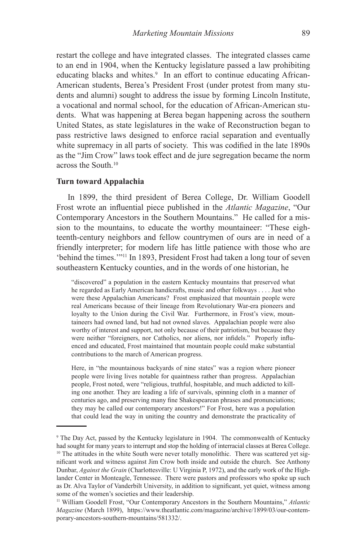restart the college and have integrated classes. The integrated classes came to an end in 1904, when the Kentucky legislature passed a law prohibiting educating blacks and whites.<sup>9</sup> In an effort to continue educating African-American students, Berea's President Frost (under protest from many students and alumni) sought to address the issue by forming Lincoln Institute, a vocational and normal school, for the education of African-American students. What was happening at Berea began happening across the southern United States, as state legislatures in the wake of Reconstruction began to pass restrictive laws designed to enforce racial separation and eventually white supremacy in all parts of society. This was codified in the late 1890s as the "Jim Crow" laws took effect and de jure segregation became the norm across the South.<sup>10</sup>

#### **Turn toward Appalachia**

In 1899, the third president of Berea College, Dr. William Goodell Frost wrote an influential piece published in the *Atlantic Magazine*, "Our Contemporary Ancestors in the Southern Mountains." He called for a mission to the mountains, to educate the worthy mountaineer: "These eighteenth-century neighbors and fellow countrymen of ours are in need of a friendly interpreter; for modern life has little patience with those who are 'behind the times.'"<sup>11</sup> In 1893, President Frost had taken a long tour of seven southeastern Kentucky counties, and in the words of one historian, he

"discovered" a population in the eastern Kentucky mountains that preserved what he regarded as Early American handicrafts, music and other folkways . . . . Just who were these Appalachian Americans? Frost emphasized that mountain people were real Americans because of their lineage from Revolutionary War-era pioneers and loyalty to the Union during the Civil War. Furthermore, in Frost's view, mountaineers had owned land, but had not owned slaves. Appalachian people were also worthy of interest and support, not only because of their patriotism, but because they were neither "foreigners, nor Catholics, nor aliens, nor infidels." Properly influenced and educated, Frost maintained that mountain people could make substantial contributions to the march of American progress.

Here, in "the mountainous backyards of nine states" was a region where pioneer people were living lives notable for quaintness rather than progress. Appalachian people, Frost noted, were "religious, truthful, hospitable, and much addicted to killing one another. They are leading a life of survivals, spinning cloth in a manner of centuries ago, and preserving many fine Shakespearean phrases and pronunciations; they may be called our contemporary ancestors!" For Frost, here was a population that could lead the way in uniting the country and demonstrate the practicality of

<sup>9</sup> The Day Act, passed by the Kentucky legislature in 1904. The commonwealth of Kentucky had sought for many years to interrupt and stop the holding of interracial classes at Berea College.  $10$  The attitudes in the white South were never totally monolithic. There was scattered yet significant work and witness against Jim Crow both inside and outside the church. See Anthony Dunbar, *Against the Grain* (Charlottesville: U Virginia P, 1972), and the early work of the Highlander Center in Monteagle, Tennessee. There were pastors and professors who spoke up such as Dr. Alva Taylor of Vanderbilt University, in addition to significant, yet quiet, witness among some of the women's societies and their leadership.

<sup>11</sup> William Goodell Frost, "Our Contemporary Ancestors in the Southern Mountains," *Atlantic Magazine* (March 1899), https://www.theatlantic.com/magazine/archive/1899/03/our-contemporary-ancestors-southern-mountains/581332/.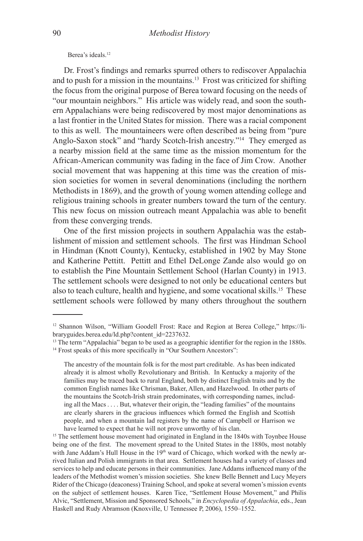Berea's ideals.<sup>12</sup>

Dr. Frost's findings and remarks spurred others to rediscover Appalachia and to push for a mission in the mountains.<sup>13</sup> Frost was criticized for shifting the focus from the original purpose of Berea toward focusing on the needs of "our mountain neighbors." His article was widely read, and soon the southern Appalachians were being rediscovered by most major denominations as a last frontier in the United States for mission. There was a racial component to this as well. The mountaineers were often described as being from "pure Anglo-Saxon stock" and "hardy Scotch-Irish ancestry."14 They emerged as a nearby mission field at the same time as the mission momentum for the African-American community was fading in the face of Jim Crow. Another social movement that was happening at this time was the creation of mission societies for women in several denominations (including the northern Methodists in 1869), and the growth of young women attending college and religious training schools in greater numbers toward the turn of the century. This new focus on mission outreach meant Appalachia was able to benefit from these converging trends.

One of the first mission projects in southern Appalachia was the establishment of mission and settlement schools. The first was Hindman School in Hindman (Knott County), Kentucky, established in 1902 by May Stone and Katherine Pettitt. Pettitt and Ethel DeLonge Zande also would go on to establish the Pine Mountain Settlement School (Harlan County) in 1913. The settlement schools were designed to not only be educational centers but also to teach culture, health and hygiene, and some vocational skills.15 These settlement schools were followed by many others throughout the southern

<sup>&</sup>lt;sup>12</sup> Shannon Wilson, "William Goodell Frost: Race and Region at Berea College," https://libraryguides.berea.edu/ld.php?content\_id=2237632.

 $13$  The term "Appalachia" began to be used as a geographic identifier for the region in the 1880s.

<sup>&</sup>lt;sup>14</sup> Frost speaks of this more specifically in "Our Southern Ancestors":

The ancestry of the mountain folk is for the most part creditable. As has been indicated already it is almost wholly Revolutionary and British. In Kentucky a majority of the families may be traced back to rural England, both by distinct English traits and by the common English names like Chrisman, Baker, Allen, and Hazelwood. In other parts of the mountains the Scotch-Irish strain predominates, with corresponding names, including all the Macs . . . . But, whatever their origin, the "leading families" of the mountains are clearly sharers in the gracious influences which formed the English and Scottish people, and when a mountain lad registers by the name of Campbell or Harrison we have learned to expect that he will not prove unworthy of his clan.

<sup>&</sup>lt;sup>15</sup> The settlement house movement had originated in England in the 1840s with Toynbee House being one of the first. The movement spread to the United States in the 1880s, most notably with Jane Addam's Hull House in the  $19<sup>th</sup>$  ward of Chicago, which worked with the newly arrived Italian and Polish immigrants in that area. Settlement houses had a variety of classes and services to help and educate persons in their communities. Jane Addams influenced many of the leaders of the Methodist women's mission societies. She knew Belle Bennett and Lucy Meyers Rider of the Chicago (deaconess) Training School, and spoke at several women's mission events on the subject of settlement houses. Karen Tice, "Settlement House Movement," and Philis Alvic, "Settlement, Mission and Sponsored Schools," in *Encyclopedia of Appalachia*, eds., Jean Haskell and Rudy Abramson (Knoxville, U Tennessee P, 2006), 1550–1552.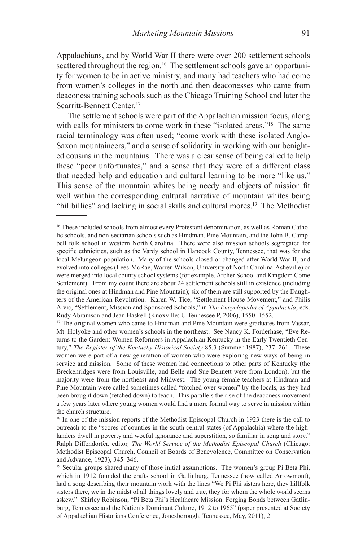Appalachians, and by World War II there were over 200 settlement schools scattered throughout the region.<sup>16</sup> The settlement schools gave an opportunity for women to be in active ministry, and many had teachers who had come from women's colleges in the north and then deaconesses who came from deaconess training schools such as the Chicago Training School and later the Scarritt-Bennett Center.<sup>17</sup>

The settlement schools were part of the Appalachian mission focus, along with calls for ministers to come work in these "isolated areas."<sup>18</sup> The same racial terminology was often used; "come work with these isolated Anglo-Saxon mountaineers," and a sense of solidarity in working with our benighted cousins in the mountains. There was a clear sense of being called to help these "poor unfortunates," and a sense that they were of a different class that needed help and education and cultural learning to be more "like us." This sense of the mountain whites being needy and objects of mission fit well within the corresponding cultural narrative of mountain whites being "hillbillies" and lacking in social skills and cultural mores.<sup>19</sup> The Methodist

<sup>&</sup>lt;sup>16</sup> These included schools from almost every Protestant denomination, as well as Roman Catholic schools, and non-sectarian schools such as Hindman, Pine Mountain, and the John B. Campbell folk school in western North Carolina. There were also mission schools segregated for specific ethnicities, such as the Vardy school in Hancock County, Tennessee, that was for the local Melungeon population. Many of the schools closed or changed after World War II, and evolved into colleges (Lees-McRae, Warren Wilson, University of North Carolina-Asheville) or were merged into local county school systems (for example, Archer School and Kingdom Come Settlement). From my count there are about 24 settlement schools still in existence (including the original ones at Hindman and Pine Mountain); six of them are still supported by the Daughters of the American Revolution. Karen W. Tice, "Settlement House Movement," and Philis Alvic, "Settlement, Mission and Sponsored Schools," in *The Encyclopedia of Appalachia*, eds. Rudy Abramson and Jean Haskell (Knoxville: U Tennessee P, 2006), 1550–1552.

<sup>&</sup>lt;sup>17</sup> The original women who came to Hindman and Pine Mountain were graduates from Vassar, Mt. Holyoke and other women's schools in the northeast. See Nancy K. Forderhase, "Eve Returns to the Garden: Women Reformers in Appalachian Kentucky in the Early Twentieth Century," *The Register of the Kentucky Historical Society* 85.3 (Summer 1987), 237–261. These women were part of a new generation of women who were exploring new ways of being in service and mission. Some of these women had connections to other parts of Kentucky (the Breckenridges were from Louisville, and Belle and Sue Bennett were from London), but the majority were from the northeast and Midwest. The young female teachers at Hindman and Pine Mountain were called sometimes called "fotched-over women" by the locals, as they had been brought down (fetched down) to teach. This parallels the rise of the deaconess movement a few years later where young women would find a more formal way to serve in mission within the church structure.

<sup>&</sup>lt;sup>18</sup> In one of the mission reports of the Methodist Episcopal Church in 1923 there is the call to outreach to the "scores of counties in the south central states (of Appalachia) where the highlanders dwell in poverty and woeful ignorance and superstition, so familiar in song and story." Ralph Diffendorfer, editor*, The World Service of the Methodist Episcopal Church* (Chicago: Methodist Episcopal Church, Council of Boards of Benevolence, Committee on Conservation and Advance, 1923), 345–346.

<sup>&</sup>lt;sup>19</sup> Secular groups shared many of those initial assumptions. The women's group Pi Beta Phi, which in 1912 founded the crafts school in Gatlinburg, Tennessee (now called Arrowmont), had a song describing their mountain work with the lines "We Pi Phi sisters here, they hillfolk sisters there, we in the midst of all things lovely and true, they for whom the whole world seems askew." Shirley Robinson, "Pi Beta Phi's Healthcare Mission: Forging Bonds between Gatlinburg, Tennessee and the Nation's Dominant Culture, 1912 to 1965" (paper presented at Society of Appalachian Historians Conference, Jonesborough, Tennessee, May, 2011), 2.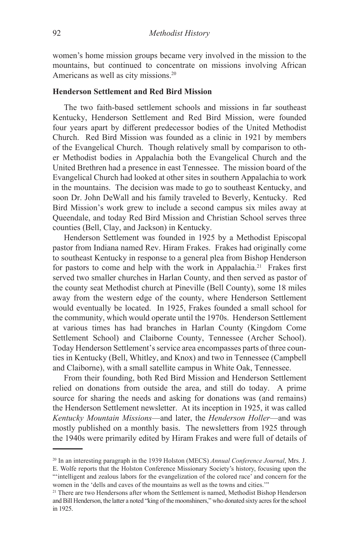women's home mission groups became very involved in the mission to the mountains, but continued to concentrate on missions involving African Americans as well as city missions.<sup>20</sup>

# **Henderson Settlement and Red Bird Mission**

The two faith-based settlement schools and missions in far southeast Kentucky, Henderson Settlement and Red Bird Mission, were founded four years apart by different predecessor bodies of the United Methodist Church. Red Bird Mission was founded as a clinic in 1921 by members of the Evangelical Church. Though relatively small by comparison to other Methodist bodies in Appalachia both the Evangelical Church and the United Brethren had a presence in east Tennessee. The mission board of the Evangelical Church had looked at other sites in southern Appalachia to work in the mountains. The decision was made to go to southeast Kentucky, and soon Dr. John DeWall and his family traveled to Beverly, Kentucky. Red Bird Mission's work grew to include a second campus six miles away at Queendale, and today Red Bird Mission and Christian School serves three counties (Bell, Clay, and Jackson) in Kentucky.

Henderson Settlement was founded in 1925 by a Methodist Episcopal pastor from Indiana named Rev. Hiram Frakes. Frakes had originally come to southeast Kentucky in response to a general plea from Bishop Henderson for pastors to come and help with the work in Appalachia.<sup>21</sup> Frakes first served two smaller churches in Harlan County, and then served as pastor of the county seat Methodist church at Pineville (Bell County), some 18 miles away from the western edge of the county, where Henderson Settlement would eventually be located. In 1925, Frakes founded a small school for the community, which would operate until the 1970s. Henderson Settlement at various times has had branches in Harlan County (Kingdom Come Settlement School) and Claiborne County, Tennessee (Archer School). Today Henderson Settlement's service area encompasses parts of three counties in Kentucky (Bell, Whitley, and Knox) and two in Tennessee (Campbell and Claiborne), with a small satellite campus in White Oak, Tennessee.

From their founding, both Red Bird Mission and Henderson Settlement relied on donations from outside the area, and still do today. A prime source for sharing the needs and asking for donations was (and remains) the Henderson Settlement newsletter. At its inception in 1925, it was called *Kentucky Mountain Missions*—and later, the *Henderson Holler*—and was mostly published on a monthly basis. The newsletters from 1925 through the 1940s were primarily edited by Hiram Frakes and were full of details of

<sup>20</sup> In an interesting paragraph in the 1939 Holston (MECS) *Annual Conference Journal*, Mrs. J.

E. Wolfe reports that the Holston Conference Missionary Society's history, focusing upon the "'intelligent and zealous labors for the evangelization of the colored race' and concern for the women in the 'dells and caves of the mountains as well as the towns and cities.'"

<sup>&</sup>lt;sup>21</sup> There are two Hendersons after whom the Settlement is named, Methodist Bishop Henderson and Bill Henderson, the latter a noted "king of the moonshiners," who donated sixty acres for the school in 1925.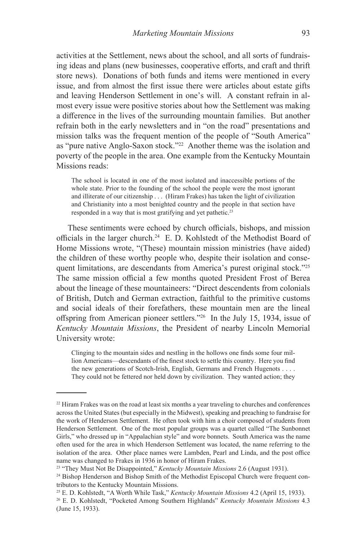activities at the Settlement, news about the school, and all sorts of fundraising ideas and plans (new businesses, cooperative efforts, and craft and thrift store news). Donations of both funds and items were mentioned in every issue, and from almost the first issue there were articles about estate gifts and leaving Henderson Settlement in one's will. A constant refrain in almost every issue were positive stories about how the Settlement was making a difference in the lives of the surrounding mountain families. But another refrain both in the early newsletters and in "on the road" presentations and mission talks was the frequent mention of the people of "South America" as "pure native Anglo-Saxon stock."<sup>22</sup> Another theme was the isolation and poverty of the people in the area. One example from the Kentucky Mountain Missions reads:

The school is located in one of the most isolated and inaccessible portions of the whole state. Prior to the founding of the school the people were the most ignorant and illiterate of our citizenship . . . (Hiram Frakes) has taken the light of civilization and Christianity into a most benighted country and the people in that section have responded in a way that is most gratifying and yet pathetic.<sup>23</sup>

These sentiments were echoed by church officials, bishops, and mission officials in the larger church.<sup>24</sup> E. D. Kohlstedt of the Methodist Board of Home Missions wrote, "(These) mountain mission ministries (have aided) the children of these worthy people who, despite their isolation and consequent limitations, are descendants from America's purest original stock."25 The same mission official a few months quoted President Frost of Berea about the lineage of these mountaineers: "Direct descendents from colonials of British, Dutch and German extraction, faithful to the primitive customs and social ideals of their forefathers, these mountain men are the lineal offspring from American pioneer settlers."<sup>26</sup> In the July 15, 1934, issue of *Kentucky Mountain Missions*, the President of nearby Lincoln Memorial University wrote:

Clinging to the mountain sides and nestling in the hollows one finds some four million Americans—descendants of the finest stock to settle this country. Here you find the new generations of Scotch-Irish, English, Germans and French Hugenots . . . . They could not be fettered nor held down by civilization. They wanted action; they

<sup>&</sup>lt;sup>22</sup> Hiram Frakes was on the road at least six months a year traveling to churches and conferences across the United States (but especially in the Midwest), speaking and preaching to fundraise for the work of Henderson Settlement. He often took with him a choir composed of students from Henderson Settlement. One of the most popular groups was a quartet called "The Sunbonnet Girls," who dressed up in "Appalachian style" and wore bonnets. South America was the name often used for the area in which Henderson Settlement was located, the name referring to the isolation of the area. Other place names were Lambden, Pearl and Linda, and the post office name was changed to Frakes in 1936 in honor of Hiram Frakes.

<sup>&</sup>lt;sup>23</sup> "They Must Not Be Disappointed," *Kentucky Mountain Missions* 2.6 (August 1931).<br><sup>24</sup> Bishop Henderson and Bishop Smith of the Methodist Episcopal Church were frequent con-

tributors to the Kentucky Mountain Missions.

<sup>25</sup> E. D. Kohlstedt, "A Worth While Task," *Kentucky Mountain Missions* 4.2 (April 15, 1933).

<sup>26</sup> E. D. Kohlstedt, "Pocketed Among Southern Highlands" *Kentucky Mountain Missions* 4.3 (June 15, 1933).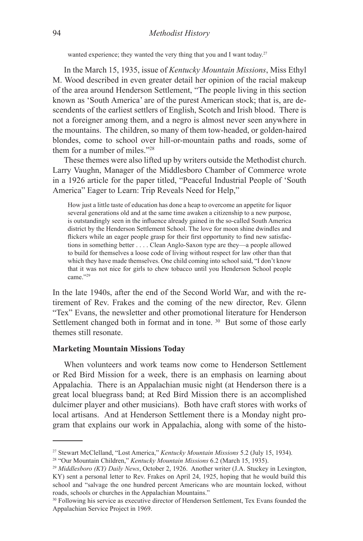wanted experience; they wanted the very thing that you and I want today.<sup>27</sup>

In the March 15, 1935, issue of *Kentucky Mountain Missions*, Miss Ethyl M. Wood described in even greater detail her opinion of the racial makeup of the area around Henderson Settlement, "The people living in this section known as 'South America' are of the purest American stock; that is, are descendents of the earliest settlers of English, Scotch and Irish blood. There is not a foreigner among them, and a negro is almost never seen anywhere in the mountains. The children, so many of them tow-headed, or golden-haired blondes, come to school over hill-or-mountain paths and roads, some of them for a number of miles."28

These themes were also lifted up by writers outside the Methodist church. Larry Vaughn, Manager of the Middlesboro Chamber of Commerce wrote in a 1926 article for the paper titled, "Peaceful Industrial People of 'South America" Eager to Learn: Trip Reveals Need for Help,"

How just a little taste of education has done a heap to overcome an appetite for liquor several generations old and at the same time awaken a citizenship to a new purpose, is outstandingly seen in the influence already gained in the so-called South America district by the Henderson Settlement School. The love for moon shine dwindles and flickers while an eager people grasp for their first opportunity to find new satisfactions in something better . . . . Clean Anglo-Saxon type are they—a people allowed to build for themselves a loose code of living without respect for law other than that which they have made themselves. One child coming into school said, "I don't know that it was not nice for girls to chew tobacco until you Henderson School people came."29

In the late 1940s, after the end of the Second World War, and with the retirement of Rev. Frakes and the coming of the new director, Rev. Glenn "Tex" Evans, the newsletter and other promotional literature for Henderson Settlement changed both in format and in tone. <sup>30</sup> But some of those early themes still resonate.

## **Marketing Mountain Missions Today**

When volunteers and work teams now come to Henderson Settlement or Red Bird Mission for a week, there is an emphasis on learning about Appalachia. There is an Appalachian music night (at Henderson there is a great local bluegrass band; at Red Bird Mission there is an accomplished dulcimer player and other musicians). Both have craft stores with works of local artisans. And at Henderson Settlement there is a Monday night program that explains our work in Appalachia, along with some of the histo-

<sup>27</sup> Stewart McClelland, "Lost America," *Kentucky Mountain Missions* 5.2 (July 15, 1934). 28 "Our Mountain Children," *Kentucky Mountain Missions* 6.2 (March 15, 1935).

<sup>&</sup>lt;sup>29</sup> Middlesboro (KY) Daily News, October 2, 1926. Another writer (J.A. Stuckey in Lexington, KY) sent a personal letter to Rev. Frakes on April 24, 1925, hoping that he would build this school and "salvage the one hundred percent Americans who are mountain locked, without roads, schools or churches in the Appalachian Mountains."

<sup>30</sup> Following his service as executive director of Henderson Settlement, Tex Evans founded the Appalachian Service Project in 1969.